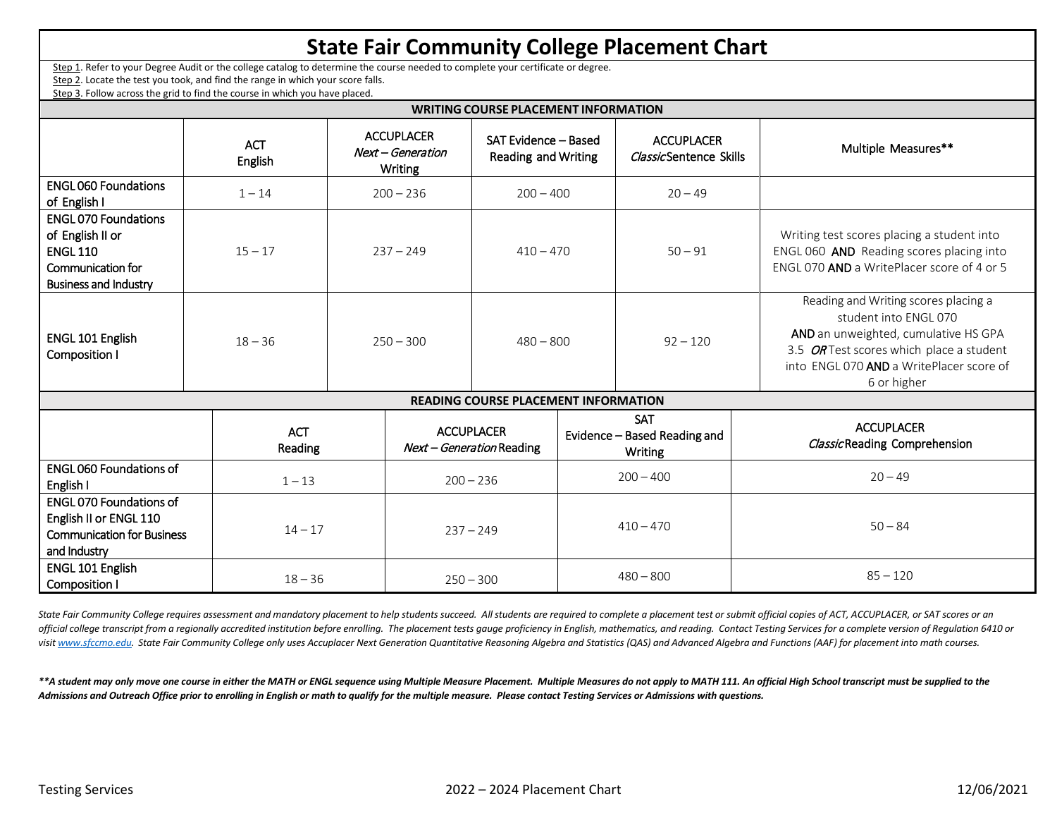## **State Fair Community College Placement Chart**

Step 1. Refer to your Degree Audit or the college catalog to determine the course needed to complete your certificate or degree.

Step 2. Locate the test you took, and find the range in which your score falls.

Step 3. Follow across the grid to find the course in which you have placed.

| <b>WRITING COURSE PLACEMENT INFORMATION</b>                                                                             |           |                       |             |                                                          |                                                |             |                                                       |           |                                                                                                                                                                                                              |  |  |  |
|-------------------------------------------------------------------------------------------------------------------------|-----------|-----------------------|-------------|----------------------------------------------------------|------------------------------------------------|-------------|-------------------------------------------------------|-----------|--------------------------------------------------------------------------------------------------------------------------------------------------------------------------------------------------------------|--|--|--|
|                                                                                                                         |           | <b>ACT</b><br>English |             | <b>ACCUPLACER</b><br>Next - Generation<br><b>Writing</b> | SAT Evidence - Based<br>Reading and Writing    |             | <b>ACCUPLACER</b><br>ClassicSentence Skills           |           | Multiple Measures**                                                                                                                                                                                          |  |  |  |
| <b>ENGL060 Foundations</b><br>of English I                                                                              |           | $1 - 14$              | $200 - 236$ |                                                          | $200 - 400$                                    |             | $20 - 49$                                             |           |                                                                                                                                                                                                              |  |  |  |
| <b>ENGL 070 Foundations</b><br>of English II or<br><b>ENGL 110</b><br>Communication for<br><b>Business and Industry</b> |           | $15 - 17$             | $237 - 249$ |                                                          | $410 - 470$                                    |             | $50 - 91$                                             |           | Writing test scores placing a student into<br>ENGL 060 AND Reading scores placing into<br>ENGL 070 AND a WritePlacer score of 4 or 5                                                                         |  |  |  |
| ENGL 101 English<br>Composition I                                                                                       |           | $18 - 36$             | $250 - 300$ |                                                          | $480 - 800$                                    |             | $92 - 120$                                            |           | Reading and Writing scores placing a<br>student into ENGL 070<br>AND an unweighted, cumulative HS GPA<br>3.5 OR Test scores which place a student<br>into ENGL 070 AND a WritePlacer score of<br>6 or higher |  |  |  |
| <b>READING COURSE PLACEMENT INFORMATION</b>                                                                             |           |                       |             |                                                          |                                                |             |                                                       |           |                                                                                                                                                                                                              |  |  |  |
|                                                                                                                         |           | <b>ACT</b><br>Reading |             |                                                          | <b>ACCUPLACER</b><br>Next - Generation Reading |             | <b>SAT</b><br>Evidence - Based Reading and<br>Writing |           | <b>ACCUPLACER</b><br>ClassicReading Comprehension                                                                                                                                                            |  |  |  |
| <b>ENGL060 Foundations of</b><br>$1 - 13$<br>English I                                                                  |           |                       | $200 - 236$ |                                                          | $200 - 400$                                    |             |                                                       | $20 - 49$ |                                                                                                                                                                                                              |  |  |  |
| <b>ENGL 070 Foundations of</b><br>English II or ENGL 110<br><b>Communication for Business</b><br>and Industry           | $14 - 17$ |                       |             | $237 - 249$                                              |                                                | $410 - 470$ |                                                       |           | $50 - 84$                                                                                                                                                                                                    |  |  |  |
| ENGL 101 English<br>Composition I                                                                                       |           | $18 - 36$             |             | $250 - 300$                                              |                                                | $480 - 800$ |                                                       |           | $85 - 120$                                                                                                                                                                                                   |  |  |  |

State Fair Community College requires assessment and mandatory placement to help students succeed. All students are required to complete a placement test or submit official copies of ACT, ACCUPLACER, or SAT scores or an official college transcript from a regionally accredited institution before enrolling. The placement tests gauge proficiency in English, mathematics, and reading. Contact Testing Services for a complete version of Regulati visit [www.sfccmo.edu.](http://www.sfccmo.edu/) State Fair Community College only uses Accuplacer Next Generation Quantitative Reasoning Algebra and Statistics (QAS) and Advanced Algebra and Functions (AAF) for placement into math courses.

\*\*A student may only move one course in either the MATH or ENGL sequence using Multiple Measure Placement. Multiple Measures do not apply to MATH 111. An official High School transcript must be supplied to the Admissions and Outreach Office prior to enrolling in English or math to qualify for the multiple measure. Please contact Testing Services or Admissions with questions.